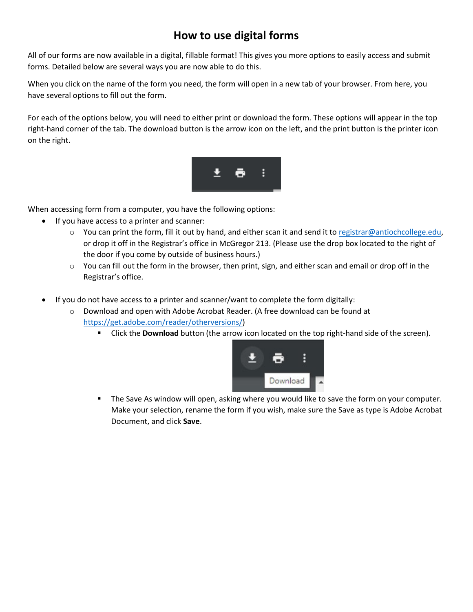# **How to use digital forms**

All of our forms are now available in a digital, fillable format! This gives you more options to easily access and submit forms. Detailed below are several ways you are now able to do this.

When you click on the name of the form you need, the form will open in a new tab of your browser. From here, you have several options to fill out the form.

For each of the options below, you will need to either print or download the form. These options will appear in the top right-hand corner of the tab. The download button is the arrow icon on the left, and the print button is the printer icon on the right.



When accessing form from a computer, you have the following options:

- If you have access to a printer and scanner:
	- o You can print the form, fill it out by hand, and either scan it and send it t[o registrar@antiochcollege.edu,](mailto:registrar@antiochcollege.edu) or drop it off in the Registrar's office in McGregor 213. (Please use the drop box located to the right of the door if you come by outside of business hours.)
	- $\circ$  You can fill out the form in the browser, then print, sign, and either scan and email or drop off in the Registrar's office.
- If you do not have access to a printer and scanner/want to complete the form digitally:
	- o Download and open with Adobe Acrobat Reader. (A free download can be found at [https://get.adobe.com/reader/otherversions/\)](https://get.adobe.com/reader/otherversions/)
		- Click the **Download** button (the arrow icon located on the top right-hand side of the screen).



The Save As window will open, asking where you would like to save the form on your computer. Make your selection, rename the form if you wish, make sure the Save as type is Adobe Acrobat Document, and click **Save**.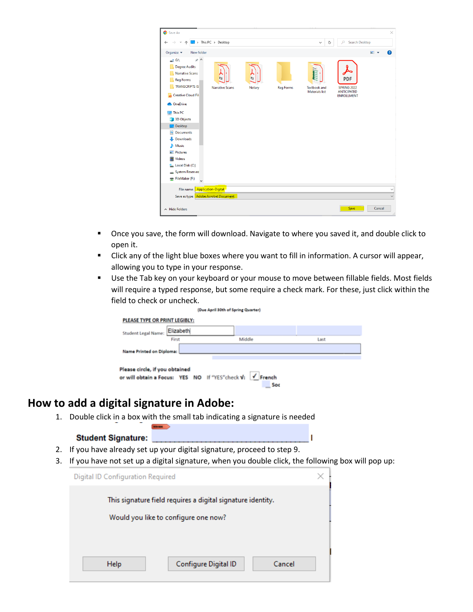| Save As                                                                                                                                                                                                                                                                                                                                                                                                         |                                   | $\times$                                                                                                             |
|-----------------------------------------------------------------------------------------------------------------------------------------------------------------------------------------------------------------------------------------------------------------------------------------------------------------------------------------------------------------------------------------------------------------|-----------------------------------|----------------------------------------------------------------------------------------------------------------------|
| $\blacksquare$ > This PC > Desktop<br>⇒<br>个                                                                                                                                                                                                                                                                                                                                                                    |                                   | Search Desktop<br>Q<br>Ö<br>$\checkmark$                                                                             |
| New folder<br>Organize v                                                                                                                                                                                                                                                                                                                                                                                        |                                   | $\bullet$<br>$\blacksquare$                                                                                          |
| $*$ ^<br>$-2$ G:<br><b>Degree Audits</b><br><b>Narrative Scans</b><br>PDF<br><b>Reg Forms</b><br><b>TRANSCRIPTS IS</b><br><b>Narrative Scans</b><br>Creative Cloud Fil<br><b>ConeDrive</b><br>$\blacksquare$ This PC<br><b>3D Objects</b><br>Desktop<br><b>Documents</b><br>A<br><b>Downloads</b><br>Music<br>ь<br><b>Pictures</b><br><b>Videos</b><br>H<br>Local Disk (C:)<br>÷<br><b>System Reserved</b><br>÷ | PDF<br><b>Reg Forms</b><br>Notary | PDF<br><b>Textbook</b> and<br><b>SPRING 2022</b><br><b>Materials list</b><br><b>ANTICIPATED</b><br><b>ENROLLMENT</b> |
| FileMaker (F:)                                                                                                                                                                                                                                                                                                                                                                                                  |                                   |                                                                                                                      |
| <b>Application-Digital</b><br>File name:                                                                                                                                                                                                                                                                                                                                                                        |                                   | $\checkmark$                                                                                                         |
| Save as type: Adobe Acrobat Document                                                                                                                                                                                                                                                                                                                                                                            |                                   | $\checkmark$                                                                                                         |
| $\land$ Hide Folders                                                                                                                                                                                                                                                                                                                                                                                            |                                   | Cancel<br>Save<br>$\mathcal{L}$                                                                                      |

- **Diamage 1** Once you save, the form will download. Navigate to where you saved it, and double click to open it.
- Click any of the light blue boxes where you want to fill in information. A cursor will appear, allowing you to type in your response.
- **Use the Tab key on your keyboard or your mouse to move between fillable fields. Most fields** will require a typed response, but some require a check mark. For these, just click within the field to check or uncheck.

п

| (Due April 30th of Spring Quarter)      |                                                                 |      |  |
|-----------------------------------------|-----------------------------------------------------------------|------|--|
| PLEASE TYPE OR PRINT LEGIBLY:           |                                                                 |      |  |
| Elizabeth<br><b>Student Legal Name:</b> |                                                                 |      |  |
| First                                   | Middle                                                          | Last |  |
| Name Printed on Diploma:                |                                                                 |      |  |
|                                         |                                                                 |      |  |
| Please circle, if you obtained          | or will obtain a Focus: YES NO If "YES"check V: √ French<br>Sor |      |  |

## **How to add a digital signature in Adobe:**

1. Double click in a box with the small tab indicating a signature is needed

#### **Student Signature:**

- 2. If you have already set up your digital signature, proceed to step 9.
- 3. If you have not set up a digital signature, when you double click, the following box will pop up:

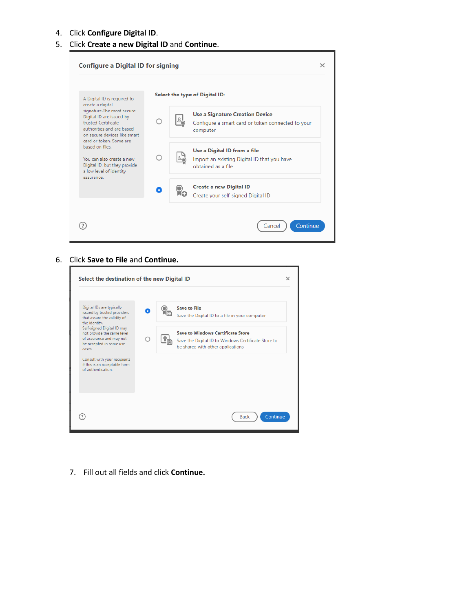### 4. Click **Configure Digital ID**.

### 5. Click **Create a new Digital ID** and **Continue**.

|                                                                                                                                                                                                                                                                                                  |   | Select the type of Digital ID:                                                                          |
|--------------------------------------------------------------------------------------------------------------------------------------------------------------------------------------------------------------------------------------------------------------------------------------------------|---|---------------------------------------------------------------------------------------------------------|
| A Digital ID is required to<br>create a digital                                                                                                                                                                                                                                                  |   |                                                                                                         |
| signature. The most secure<br>Digital ID are issued by<br>trusted Certificate<br>authorities and are based.<br>on secure devices like smart.<br>card or token. Some are<br>based on files.<br>You can also create a new<br>Digital ID, but they provide<br>a low level of identity<br>assurance. |   | <b>Use a Signature Creation Device</b><br>Configure a smart card or token connected to your<br>computer |
|                                                                                                                                                                                                                                                                                                  | ∩ | Use a Digital ID from a file<br>Import an existing Digital ID that you have<br>obtained as a file.      |
|                                                                                                                                                                                                                                                                                                  | Δ | <b>Create a new Digital ID</b><br>Create your self-signed Digital ID                                    |

#### 6. Click **Save to File** and **Continue.**

| Select the destination of the new Digital ID                                                                              |                                                                                                                                      | $\times$ |
|---------------------------------------------------------------------------------------------------------------------------|--------------------------------------------------------------------------------------------------------------------------------------|----------|
| Digital IDs are typically<br>issued by trusted providers<br>that assure the validity of<br>the identity.                  | <b>Save to File</b><br>Save the Digital ID to a file in your computer                                                                |          |
| Self-signed Digital ID may<br>not provide the same level<br>of assurance and may not<br>be accepted in some use<br>cases. | <b>Save to Windows Certificate Store</b><br>Save the Digital ID to Windows Certificate Store to<br>be shared with other applications |          |
| Consult with your recipients<br>if this is an acceptable form<br>of authentication.                                       |                                                                                                                                      |          |
|                                                                                                                           |                                                                                                                                      |          |
|                                                                                                                           | Continue<br><b>Back</b>                                                                                                              |          |

7. Fill out all fields and click **Continue.**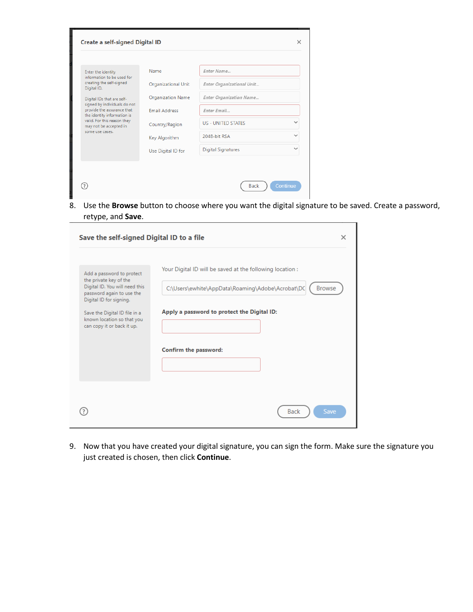| Enter the identity<br>information to be used for<br>creating the self-signed<br>Digital ID.<br>Digital IDs that are self-<br>signed by individuals do not<br>provide the assurance that<br>the identity information is<br>valid. For this reason they<br>may not be accepted in<br>some use cases. | Name                       | Enter Name                     |              |
|----------------------------------------------------------------------------------------------------------------------------------------------------------------------------------------------------------------------------------------------------------------------------------------------------|----------------------------|--------------------------------|--------------|
|                                                                                                                                                                                                                                                                                                    | <b>Organizational Unit</b> | Enter Organizational Unit      |              |
|                                                                                                                                                                                                                                                                                                    | <b>Organization Name</b>   | <b>Enter Organization Name</b> |              |
|                                                                                                                                                                                                                                                                                                    | <b>Email Address</b>       | Enter Email                    |              |
|                                                                                                                                                                                                                                                                                                    | Country/Region             | <b>US - UNITED STATES</b>      | $\checkmark$ |
|                                                                                                                                                                                                                                                                                                    | Key Algorithm              | 2048-bit RSA                   | $\checkmark$ |
|                                                                                                                                                                                                                                                                                                    | Use Digital ID for         | <b>Digital Signatures</b>      | $\checkmark$ |
|                                                                                                                                                                                                                                                                                                    |                            |                                |              |

8. Use the **Browse** button to choose where you want the digital signature to be saved. Create a password, retype, and **Save**.

| Save the self-signed Digital ID to a file                                                                                                                                                                                                  | ×                                                                                                                                                                                                      |
|--------------------------------------------------------------------------------------------------------------------------------------------------------------------------------------------------------------------------------------------|--------------------------------------------------------------------------------------------------------------------------------------------------------------------------------------------------------|
| Add a password to protect<br>the private key of the<br>Digital ID. You will need this<br>password again to use the<br>Digital ID for signing.<br>Save the Digital ID file in a<br>known location so that you<br>can copy it or back it up. | Your Digital ID will be saved at the following location :<br>C:\Users\ewhite\AppData\Roaming\Adobe\Acrobat\DC<br><b>Browse</b><br>Apply a password to protect the Digital ID:<br>Confirm the password: |
|                                                                                                                                                                                                                                            | <b>Back</b><br>Save                                                                                                                                                                                    |

9. Now that you have created your digital signature, you can sign the form. Make sure the signature you just created is chosen, then click **Continue**.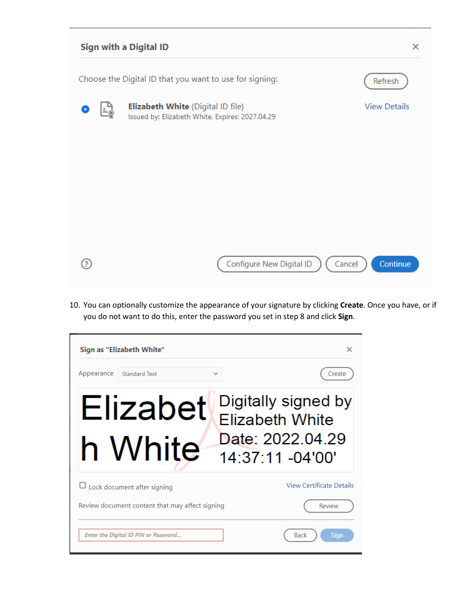

10. You can optionally customize the appearance of your signature by clicking **Create**. Once you have, or if you do not want to do this, enter the password you set in step 8 and click **Sign**.

| Sign as "Elizabeth White"                          | ×                                                                                     |
|----------------------------------------------------|---------------------------------------------------------------------------------------|
| Appearance<br><b>Standard Text</b><br>$\checkmark$ | Create                                                                                |
| Elizabet<br>h White                                | Digitally signed by<br><b>Elizabeth White</b><br>Date: 2022.04.29<br>14:37:11 -04'00' |
| $\Box$ Lock document after signing                 | <b>View Certificate Details</b>                                                       |
| Review document content that may affect signing    | Review                                                                                |
| Enter the Digital ID PIN or Password               | <b>Back</b><br><b>Sign</b>                                                            |